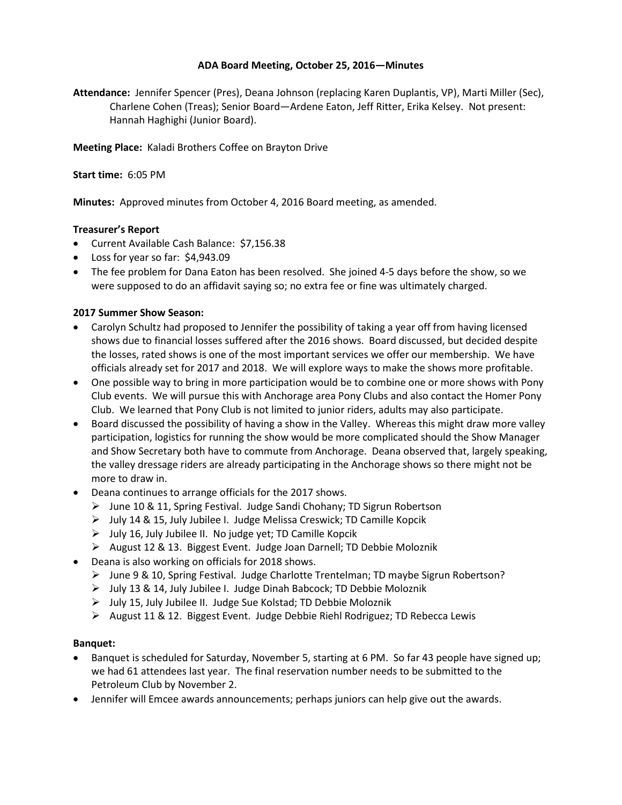## **ADA Board Meeting, October 25, 2016—Minutes**

**Attendance:** Jennifer Spencer (Pres), Deana Johnson (replacing Karen Duplantis, VP), Marti Miller (Sec), Charlene Cohen (Treas); Senior Board—Ardene Eaton, Jeff Ritter, Erika Kelsey. Not present: Hannah Haghighi (Junior Board).

**Meeting Place:** Kaladi Brothers Coffee on Brayton Drive

**Start time:** 6:05 PM

**Minutes:** Approved minutes from October 4, 2016 Board meeting, as amended.

# **Treasurer's Report**

- Current Available Cash Balance: \$7,156.38
- Loss for year so far: \$4,943.09
- The fee problem for Dana Eaton has been resolved. She joined 4-5 days before the show, so we were supposed to do an affidavit saying so; no extra fee or fine was ultimately charged.

# **2017 Summer Show Season:**

- Carolyn Schultz had proposed to Jennifer the possibility of taking a year off from having licensed shows due to financial losses suffered after the 2016 shows. Board discussed, but decided despite the losses, rated shows is one of the most important services we offer our membership. We have officials already set for 2017 and 2018. We will explore ways to make the shows more profitable.
- One possible way to bring in more participation would be to combine one or more shows with Pony Club events. We will pursue this with Anchorage area Pony Clubs and also contact the Homer Pony Club. We learned that Pony Club is not limited to junior riders, adults may also participate.
- Board discussed the possibility of having a show in the Valley. Whereas this might draw more valley participation, logistics for running the show would be more complicated should the Show Manager and Show Secretary both have to commute from Anchorage. Deana observed that, largely speaking, the valley dressage riders are already participating in the Anchorage shows so there might not be more to draw in.
- Deana continues to arrange officials for the 2017 shows.
	- $\triangleright$  June 10 & 11, Spring Festival. Judge Sandi Chohany; TD Sigrun Robertson
	- July 14 & 15, July Jubilee I. Judge Melissa Creswick; TD Camille Kopcik
	- $\triangleright$  July 16, July Jubilee II. No judge yet; TD Camille Kopcik
	- August 12 & 13. Biggest Event. Judge Joan Darnell; TD Debbie Moloznik
- Deana is also working on officials for 2018 shows.
	- June 9 & 10, Spring Festival. Judge Charlotte Trentelman; TD maybe Sigrun Robertson?
	- July 13 & 14, July Jubilee I. Judge Dinah Babcock; TD Debbie Moloznik
	- July 15, July Jubilee II. Judge Sue Kolstad; TD Debbie Moloznik
	- $\triangleright$  August 11 & 12. Biggest Event. Judge Debbie Riehl Rodriguez; TD Rebecca Lewis

### **Banquet:**

- Banquet is scheduled for Saturday, November 5, starting at 6 PM. So far 43 people have signed up; we had 61 attendees last year. The final reservation number needs to be submitted to the Petroleum Club by November 2.
- Jennifer will Emcee awards announcements; perhaps juniors can help give out the awards.